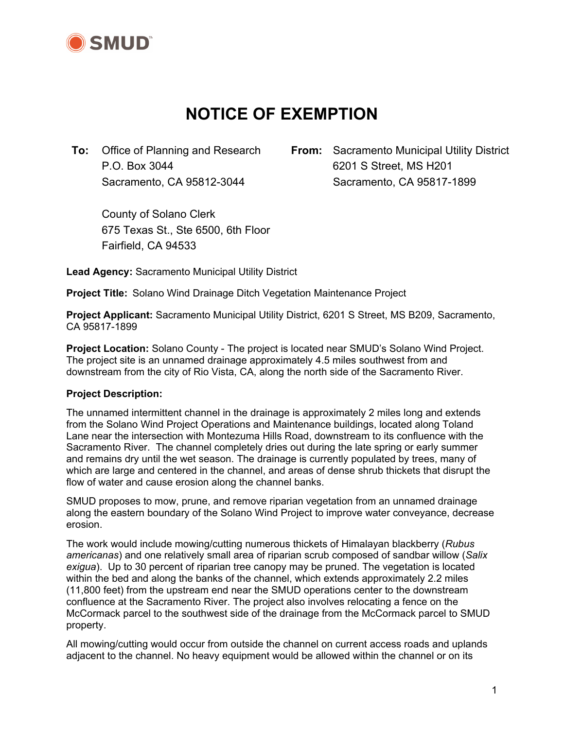

# **NOTICE OF EXEMPTION**

**To:** Office of Planning and Research **From:** Sacramento Municipal Utility District P.O. Box 3044 6201 S Street, MS H201 Sacramento, CA 95812-3044 Sacramento, CA 95817-1899

 County of Solano Clerk 675 Texas St., Ste 6500, 6th Floor Fairfield, CA 94533

**Lead Agency:** Sacramento Municipal Utility District

**Project Title:** Solano Wind Drainage Ditch Vegetation Maintenance Project

**Project Applicant:** Sacramento Municipal Utility District, 6201 S Street, MS B209, Sacramento, CA 95817-1899

**Project Location:** Solano County - The project is located near SMUD's Solano Wind Project. The project site is an unnamed drainage approximately 4.5 miles southwest from and downstream from the city of Rio Vista, CA, along the north side of the Sacramento River.

#### **Project Description:**

The unnamed intermittent channel in the drainage is approximately 2 miles long and extends from the Solano Wind Project Operations and Maintenance buildings, located along Toland Lane near the intersection with Montezuma Hills Road, downstream to its confluence with the Sacramento River. The channel completely dries out during the late spring or early summer and remains dry until the wet season. The drainage is currently populated by trees, many of which are large and centered in the channel, and areas of dense shrub thickets that disrupt the flow of water and cause erosion along the channel banks.

SMUD proposes to mow, prune, and remove riparian vegetation from an unnamed drainage along the eastern boundary of the Solano Wind Project to improve water conveyance, decrease erosion.

The work would include mowing/cutting numerous thickets of Himalayan blackberry (*Rubus americanas*) and one relatively small area of riparian scrub composed of sandbar willow (*Salix exigua*). Up to 30 percent of riparian tree canopy may be pruned. The vegetation is located within the bed and along the banks of the channel, which extends approximately 2.2 miles (11,800 feet) from the upstream end near the SMUD operations center to the downstream confluence at the Sacramento River. The project also involves relocating a fence on the McCormack parcel to the southwest side of the drainage from the McCormack parcel to SMUD property.

All mowing/cutting would occur from outside the channel on current access roads and uplands adjacent to the channel. No heavy equipment would be allowed within the channel or on its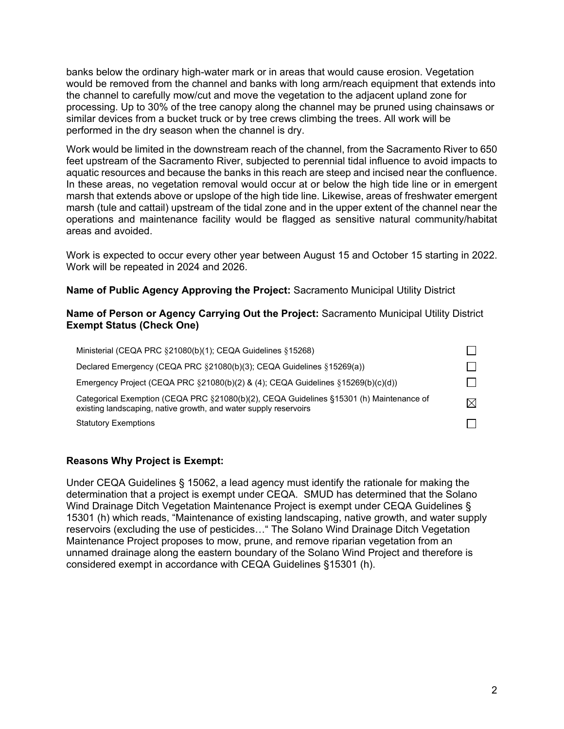banks below the ordinary high-water mark or in areas that would cause erosion. Vegetation would be removed from the channel and banks with long arm/reach equipment that extends into the channel to carefully mow/cut and move the vegetation to the adjacent upland zone for processing. Up to 30% of the tree canopy along the channel may be pruned using chainsaws or similar devices from a bucket truck or by tree crews climbing the trees. All work will be performed in the dry season when the channel is dry.

Work would be limited in the downstream reach of the channel, from the Sacramento River to 650 feet upstream of the Sacramento River, subjected to perennial tidal influence to avoid impacts to aquatic resources and because the banks in this reach are steep and incised near the confluence. In these areas, no vegetation removal would occur at or below the high tide line or in emergent marsh that extends above or upslope of the high tide line. Likewise, areas of freshwater emergent marsh (tule and cattail) upstream of the tidal zone and in the upper extent of the channel near the operations and maintenance facility would be flagged as sensitive natural community/habitat areas and avoided.

Work is expected to occur every other year between August 15 and October 15 starting in 2022. Work will be repeated in 2024 and 2026.

**Name of Public Agency Approving the Project:** Sacramento Municipal Utility District

#### **Name of Person or Agency Carrying Out the Project:** Sacramento Municipal Utility District **Exempt Status (Check One)**

| Ministerial (CEQA PRC §21080(b)(1); CEQA Guidelines §15268)                                                                                                 |  |
|-------------------------------------------------------------------------------------------------------------------------------------------------------------|--|
| Declared Emergency (CEQA PRC §21080(b)(3); CEQA Guidelines §15269(a))                                                                                       |  |
| Emergency Project (CEQA PRC $\S 21080(b)(2)$ & (4); CEQA Guidelines $\S 15269(b)(c)(d)$ )                                                                   |  |
| Categorical Exemption (CEQA PRC §21080(b)(2), CEQA Guidelines §15301 (h) Maintenance of<br>existing landscaping, native growth, and water supply reservoirs |  |
| <b>Statutory Exemptions</b>                                                                                                                                 |  |

### **Reasons Why Project is Exempt:**

Under CEQA Guidelines § 15062, a lead agency must identify the rationale for making the determination that a project is exempt under CEQA. SMUD has determined that the Solano Wind Drainage Ditch Vegetation Maintenance Project is exempt under CEQA Guidelines § 15301 (h) which reads, "Maintenance of existing landscaping, native growth, and water supply reservoirs (excluding the use of pesticides…" The Solano Wind Drainage Ditch Vegetation Maintenance Project proposes to mow, prune, and remove riparian vegetation from an unnamed drainage along the eastern boundary of the Solano Wind Project and therefore is considered exempt in accordance with CEQA Guidelines §15301 (h).